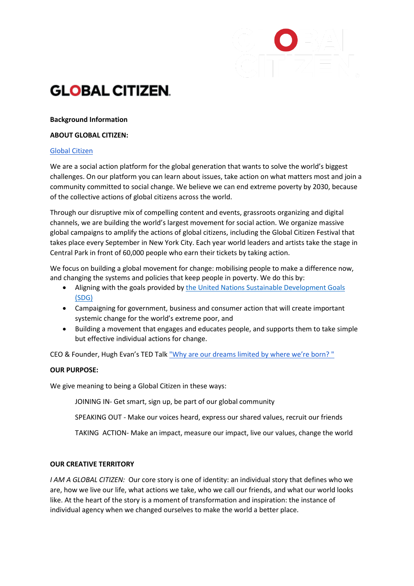# **GLOBAL CITIZEN.**

# **Background Information**

# **ABOUT GLOBAL CITIZEN:**

# [Global Citizen](https://www.globalcitizen.org/)

We are a social action platform for the global generation that wants to solve the world's biggest challenges. On our platform you can learn about issues, take action on what matters most and join a community committed to social change. We believe we can end extreme poverty by 2030, because of the collective actions of global citizens across the world.

Through our disruptive mix of compelling content and events, grassroots organizing and digital channels, we are building the world's largest movement for social action. We organize massive global campaigns to amplify the actions of global citizens, including the Global Citizen Festival that takes place every September in New York City. Each year world leaders and artists take the stage in Central Park in front of 60,000 people who earn their tickets by taking action.

We focus on building a global movement for change: mobilising people to make a difference now, and changing the systems and policies that keep people in poverty. We do this by:

- Aligning with the goals provided by [the United Nations Sustainable Development Goals](https://sustainabledevelopment.un.org/?menu=1300)  [\(SDG\)](https://sustainabledevelopment.un.org/?menu=1300)
- Campaigning for government, business and consumer action that will create important systemic change for the world's extreme poor, and
- Building a movement that engages and educates people, and supports them to take simple but effective individual actions for change.

CEO & Founder, Hugh Evan's TED Talk ["Why are our dreams limited by where we're born? "](https://www.globalcitizen.org/en/content/hugh-evans-ted-talk-global-citizen/)

# **OUR PURPOSE:**

We give meaning to being a Global Citizen in these ways:

JOINING IN- Get smart, sign up, be part of our global community

SPEAKING OUT - Make our voices heard, express our shared values, recruit our friends

TAKING ACTION- Make an impact, measure our impact, live our values, change the world

# **OUR CREATIVE TERRITORY**

*I AM A GLOBAL CITIZEN:* Our core story is one of identity: an individual story that defines who we are, how we live our life, what actions we take, who we call our friends, and what our world looks like. At the heart of the story is a moment of transformation and inspiration: the instance of individual agency when we changed ourselves to make the world a better place.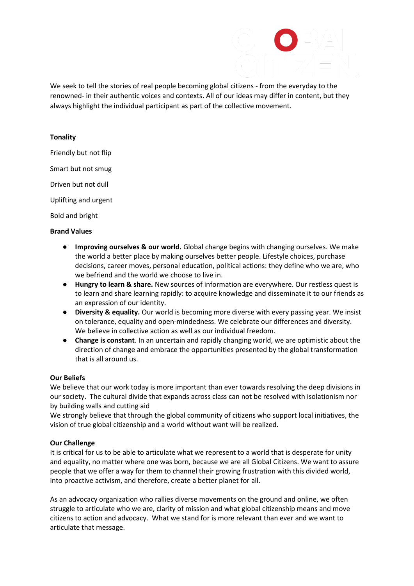We seek to tell the stories of real people becoming global citizens - from the everyday to the renowned- in their authentic voices and contexts. All of our ideas may differ in content, but they always highlight the individual participant as part of the collective movement.

### **Tonality**

Friendly but not flip

Smart but not smug

Driven but not dull

Uplifting and urgent

Bold and bright

### **Brand Values**

- **Improving ourselves & our world.** Global change begins with changing ourselves. We make the world a better place by making ourselves better people. Lifestyle choices, purchase decisions, career moves, personal education, political actions: they define who we are, who we befriend and the world we choose to live in.
- **Hungry to learn & share.** New sources of information are everywhere. Our restless quest is to learn and share learning rapidly: to acquire knowledge and disseminate it to our friends as an expression of our identity.
- **Diversity & equality.** Our world is becoming more diverse with every passing year. We insist on tolerance, equality and open-mindedness. We celebrate our differences and diversity. We believe in collective action as well as our individual freedom.
- **Change is constant**. In an uncertain and rapidly changing world, we are optimistic about the direction of change and embrace the opportunities presented by the global transformation that is all around us.

# **Our Beliefs**

We believe that our work today is more important than ever towards resolving the deep divisions in our society. The cultural divide that expands across class can not be resolved with isolationism nor by building walls and cutting aid

We strongly believe that through the global community of citizens who support local initiatives, the vision of true global citizenship and a world without want will be realized.

### **Our Challenge**

It is critical for us to be able to articulate what we represent to a world that is desperate for unity and equality, no matter where one was born, because we are all Global Citizens. We want to assure people that we offer a way for them to channel their growing frustration with this divided world, into proactive activism, and therefore, create a better planet for all.

As an advocacy organization who rallies diverse movements on the ground and online, we often struggle to articulate who we are, clarity of mission and what global citizenship means and move citizens to action and advocacy. What we stand for is more relevant than ever and we want to articulate that message.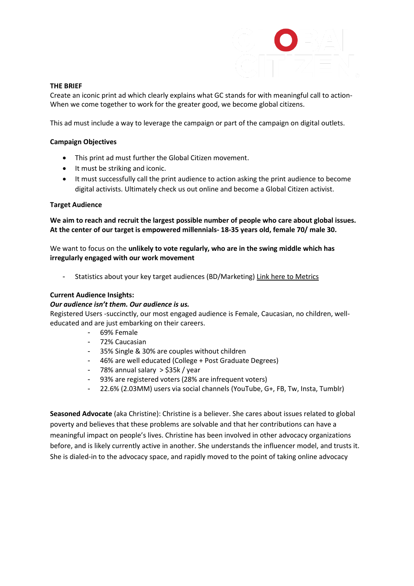

# **THE BRIEF**

Create an iconic print ad which clearly explains what GC stands for with meaningful call to action-When we come together to work for the greater good, we become global citizens.

This ad must include a way to leverage the campaign or part of the campaign on digital outlets.

# **Campaign Objectives**

- This print ad must further the Global Citizen movement.
- It must be striking and iconic.
- It must successfully call the print audience to action asking the print audience to become digital activists. Ultimately check us out online and become a Global Citizen activist.

# **Target Audience**

**We aim to reach and recruit the largest possible number of people who care about global issues. At the center of our target is empowered millennials- 18-35 years old, female 70/ male 30.** 

We want to focus on the **unlikely to vote regularly, who are in the swing middle which has irregularly engaged with our work movement**

- Statistics about your key target audiences (BD/Marketing) [Link here to Metrics](https://docs.google.com/document/d/1ehYMBJjuGE2lt1FQwWSXX7IW2-XCltCpbmxgHOFGAvU/edit)

# **Current Audience Insights:**

# *Our audience isn't them. Our audience is us.*

Registered Users -succinctly, our most engaged audience is Female, Caucasian, no children, welleducated and are just embarking on their careers.

- 69% Female
- 72% Caucasian
- 35% Single & 30% are couples without children
- 46% are well educated (College + Post Graduate Degrees)
- 78% annual salary > \$35k / year
- 93% are registered voters (28% are infrequent voters)
- 22.6% (2.03MM) users via social channels (YouTube, G+, FB, Tw, Insta, Tumblr)

**Seasoned Advocate** (aka Christine): Christine is a believer. She cares about issues related to global poverty and believes that these problems are solvable and that her contributions can have a meaningful impact on people's lives. Christine has been involved in other advocacy organizations before, and is likely currently active in another. She understands the influencer model, and trusts it. She is dialed-in to the advocacy space, and rapidly moved to the point of taking online advocacy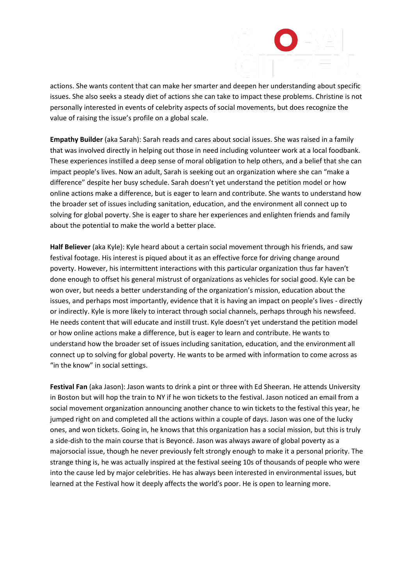actions. She wants content that can make her smarter and deepen her understanding about specific issues. She also seeks a steady diet of actions she can take to impact these problems. Christine is not personally interested in events of celebrity aspects of social movements, but does recognize the value of raising the issue's profile on a global scale.

**Empathy Builder** (aka Sarah): Sarah reads and cares about social issues. She was raised in a family that was involved directly in helping out those in need including volunteer work at a local foodbank. These experiences instilled a deep sense of moral obligation to help others, and a belief that she can impact people's lives. Now an adult, Sarah is seeking out an organization where she can "make a difference" despite her busy schedule. Sarah doesn't yet understand the petition model or how online actions make a difference, but is eager to learn and contribute. She wants to understand how the broader set of issues including sanitation, education, and the environment all connect up to solving for global poverty. She is eager to share her experiences and enlighten friends and family about the potential to make the world a better place.

**Half Believer** (aka Kyle): Kyle heard about a certain social movement through his friends, and saw festival footage. His interest is piqued about it as an effective force for driving change around poverty. However, his intermittent interactions with this particular organization thus far haven't done enough to offset his general mistrust of organizations as vehicles for social good. Kyle can be won over, but needs a better understanding of the organization's mission, education about the issues, and perhaps most importantly, evidence that it is having an impact on people's lives - directly or indirectly. Kyle is more likely to interact through social channels, perhaps through his newsfeed. He needs content that will educate and instill trust. Kyle doesn't yet understand the petition model or how online actions make a difference, but is eager to learn and contribute. He wants to understand how the broader set of issues including sanitation, education, and the environment all connect up to solving for global poverty. He wants to be armed with information to come across as "in the know" in social settings.

**Festival Fan** (aka Jason): Jason wants to drink a pint or three with Ed Sheeran. He attends University in Boston but will hop the train to NY if he won tickets to the festival. Jason noticed an email from a social movement organization announcing another chance to win tickets to the festival this year, he jumped right on and completed all the actions within a couple of days. Jason was one of the lucky ones, and won tickets. Going in, he knows that this organization has a social mission, but this is truly a side-dish to the main course that is Beyoncé. Jason was always aware of global poverty as a majorsocial issue, though he never previously felt strongly enough to make it a personal priority. The strange thing is, he was actually inspired at the festival seeing 10s of thousands of people who were into the cause led by major celebrities. He has always been interested in environmental issues, but learned at the Festival how it deeply affects the world's poor. He is open to learning more.